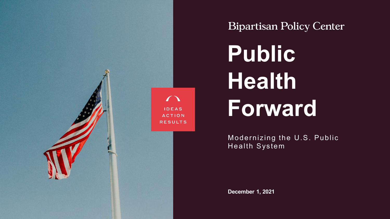

**Bipartisan Policy Center** 

**Public Health Forward**

Modernizing the U.S. Public Health System

**December 1, 2021**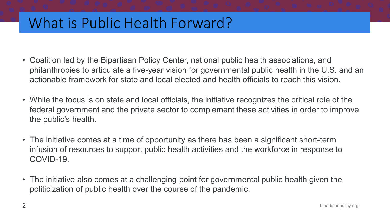## What is Public Health Forward?

- Coalition led by the Bipartisan Policy Center, national public health associations, and philanthropies to articulate a five-year vision for governmental public health in the U.S. and an actionable framework for state and local elected and health officials to reach this vision.
- While the focus is on state and local officials, the initiative recognizes the critical role of the federal government and the private sector to complement these activities in order to improve the public's health.
- The initiative comes at a time of opportunity as there has been a significant short-term infusion of resources to support public health activities and the workforce in response to COVID-19.
- The initiative also comes at a challenging point for governmental public health given the politicization of public health over the course of the pandemic.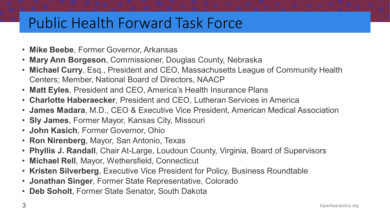# Public Health Forward Task Force

- **Mike Beebe**, Former Governor, Arkansas
- **Mary Ann Borgeson**, Commissioner, Douglas County, Nebraska
- **Michael Curry**, Esq., President and CEO, Massachusetts League of Community Health Centers; Member, National Board of Directors, NAACP
- **Matt Eyles**, President and CEO, America's Health Insurance Plans
- **Charlotte Haberaecker**, President and CEO, Lutheran Services in America
- **James Madara**, M.D., CEO & Executive Vice President, American Medical Association
- **Sly James**, Former Mayor, Kansas City, Missouri
- **John Kasich**, Former Governor, Ohio
- **Ron Nirenberg**, Mayor, San Antonio, Texas
- **Phyllis J. Randall**, Chair At-Large, Loudoun County, Virginia, Board of Supervisors
- **Michael Rell**, Mayor, Wethersfield, Connecticut
- **Kristen Silverberg**, Executive Vice President for Policy, Business Roundtable
- **Jonathan Singer**, Former State Representative, Colorado
- **Deb Soholt**, Former State Senator, South Dakota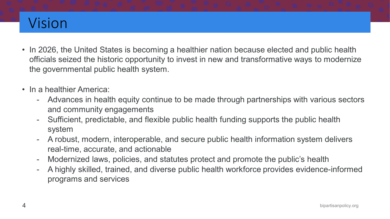# Vision

- In 2026, the United States is becoming a healthier nation because elected and public health officials seized the historic opportunity to invest in new and transformative ways to modernize the governmental public health system.
- In a healthier America:
	- Advances in health equity continue to be made through partnerships with various sectors and community engagements
	- Sufficient, predictable, and flexible public health funding supports the public health system
	- A robust, modern, interoperable, and secure public health information system delivers real-time, accurate, and actionable
	- Modernized laws, policies, and statutes protect and promote the public's health
	- A highly skilled, trained, and diverse public health workforce provides evidence-informed programs and services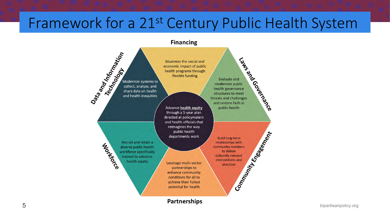## Framework for a 21st Century Public Health System

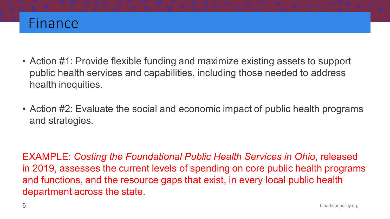

- Action #1: Provide flexible funding and maximize existing assets to support public health services and capabilities, including those needed to address health inequities.
- Action #2: Evaluate the social and economic impact of public health programs and strategies.

EXAMPLE: *Costing the Foundational Public Health Services in Ohio*, released in 2019, assesses the current levels of spending on core public health programs and functions, and the resource gaps that exist, in every local public health department across the state.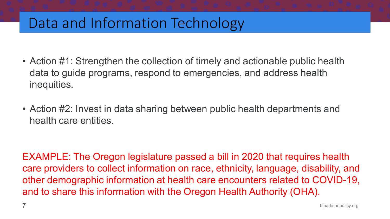### Data and Information Technology

- Action #1: Strengthen the collection of timely and actionable public health data to guide programs, respond to emergencies, and address health inequities.
- Action #2: Invest in data sharing between public health departments and health care entities.

EXAMPLE: The Oregon legislature passed a bill in 2020 that requires health care providers to collect information on race, ethnicity, language, disability, and other demographic information at health care encounters related to COVID-19, and to share this information with the Oregon Health Authority (OHA).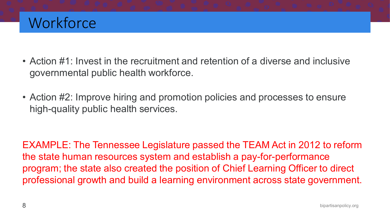# **Workforce**

- Action #1: Invest in the recruitment and retention of a diverse and inclusive governmental public health workforce.
- Action #2: Improve hiring and promotion policies and processes to ensure high-quality public health services.

EXAMPLE: The Tennessee Legislature passed the TEAM Act in 2012 to reform the state human resources system and establish a pay-for-performance program; the state also created the position of Chief Learning Officer to direct professional growth and build a learning environment across state government.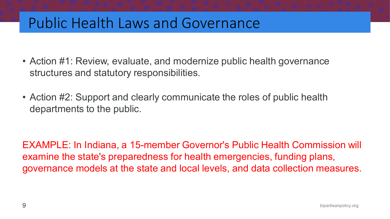### Public Health Laws and Governance

- Action #1: Review, evaluate, and modernize public health governance structures and statutory responsibilities.
- Action #2: Support and clearly communicate the roles of public health departments to the public.

EXAMPLE: In Indiana, a 15-member Governor's Public Health Commission will examine the state's preparedness for health emergencies, funding plans, governance models at the state and local levels, and data collection measures.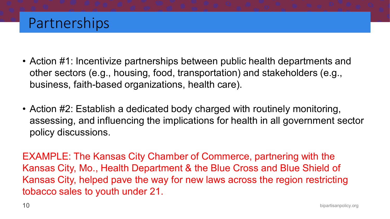#### Partnerships

- Action #1: Incentivize partnerships between public health departments and other sectors (e.g., housing, food, transportation) and stakeholders (e.g., business, faith-based organizations, health care).
- Action #2: Establish a dedicated body charged with routinely monitoring, assessing, and influencing the implications for health in all government sector policy discussions.

EXAMPLE: The Kansas City Chamber of Commerce, partnering with the Kansas City, Mo., Health Department & the Blue Cross and Blue Shield of Kansas City, helped pave the way for new laws across the region restricting tobacco sales to youth under 21.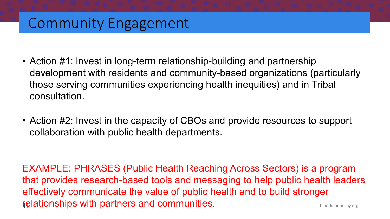## Community Engagement

- Action #1: Invest in long-term relationship-building and partnership development with residents and community-based organizations (particularly those serving communities experiencing health inequities) and in Tribal consultation.
- Action #2: Invest in the capacity of CBOs and provide resources to support collaboration with public health departments.

relationships with partners and communities. The subsection of the strangelicy.org EXAMPLE: PHRASES (Public Health Reaching Across Sectors) is a program that provides research-based tools and messaging to help public health leaders effectively communicate the value of public health and to build stronger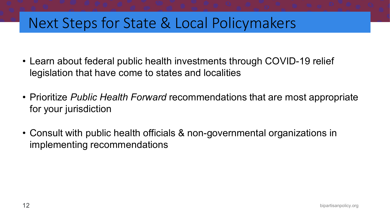## Next Steps for State & Local Policymakers

- Learn about federal public health investments through COVID-19 relief legislation that have come to states and localities
- Prioritize *Public Health Forward* recommendations that are most appropriate for your jurisdiction
- Consult with public health officials & non-governmental organizations in implementing recommendations